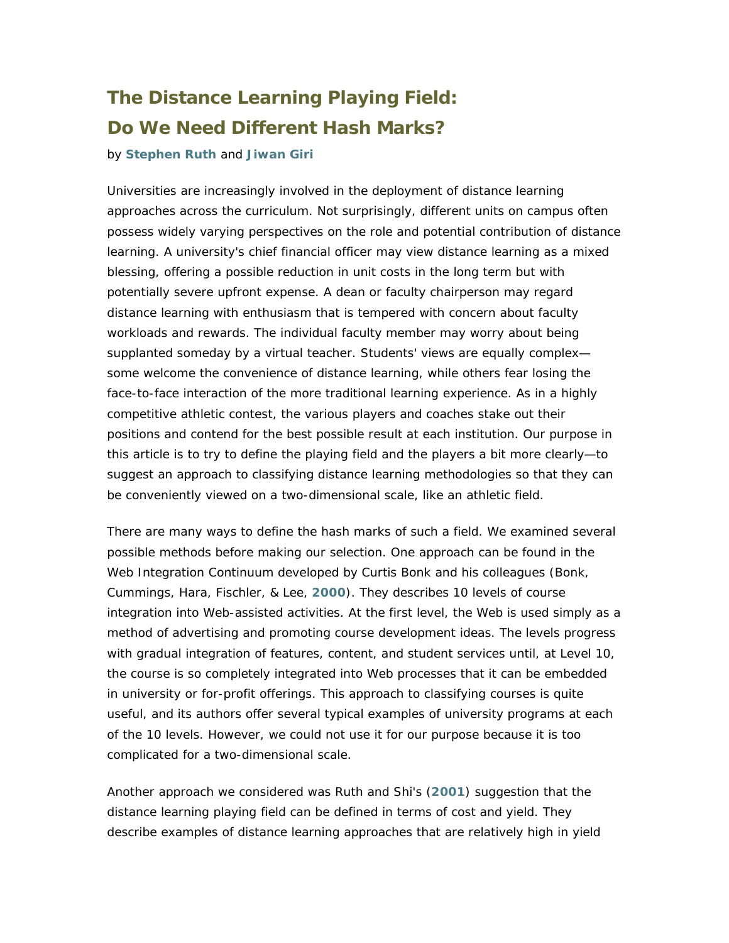# **The Distance Learning Playing Field: Do We Need Different Hash Marks?**

### by **[Stephen Ruth](http://ts.mivu.org/default.asp?show=bio&id=185)** and **[Jiwan Giri](http://ts.mivu.org/default.asp?show=bio&id=578)**

Universities are increasingly involved in the deployment of distance learning approaches across the curriculum. Not surprisingly, different units on campus often possess widely varying perspectives on the role and potential contribution of distance learning. A university's chief financial officer may view distance learning as a mixed blessing, offering a possible reduction in unit costs in the long term but with potentially severe upfront expense. A dean or faculty chairperson may regard distance learning with enthusiasm that is tempered with concern about faculty workloads and rewards. The individual faculty member may worry about being supplanted someday by a virtual teacher. Students' views are equally complex some welcome the convenience of distance learning, while others fear losing the face-to-face interaction of the more traditional learning experience. As in a highly competitive athletic contest, the various players and coaches stake out their positions and contend for the best possible result at each institution. Our purpose in this article is to try to define the playing field and the players a bit more clearly—to suggest an approach to classifying distance learning methodologies so that they can be conveniently viewed on a two-dimensional scale, like an athletic field.

There are many ways to define the hash marks of such a field. We examined several possible methods before making our selection. One approach can be found in the Web Integration Continuum developed by Curtis Bonk and his colleagues (Bonk, Cummings, Hara, Fischler, & Lee, **[2000](http://php.indiana.edu/~cjbonk/paper/edmdia99.html)**). They describes 10 levels of course integration into Web-assisted activities. At the first level, the Web is used simply as a method of advertising and promoting course development ideas. The levels progress with gradual integration of features, content, and student services until, at Level 10, the course is so completely integrated into Web processes that it can be embedded in university or for-profit offerings. This approach to classifying courses is quite useful, and its authors offer several typical examples of university programs at each of the 10 levels. However, we could not use it for our purpose because it is too complicated for a two-dimensional scale.

Another approach we considered was Ruth and Shi's (**[2001](http://www.icasit.org/ruth/distance learning in developing countries.pdf)**) suggestion that the distance learning playing field can be defined in terms of cost and yield. They describe examples of distance learning approaches that are relatively high in yield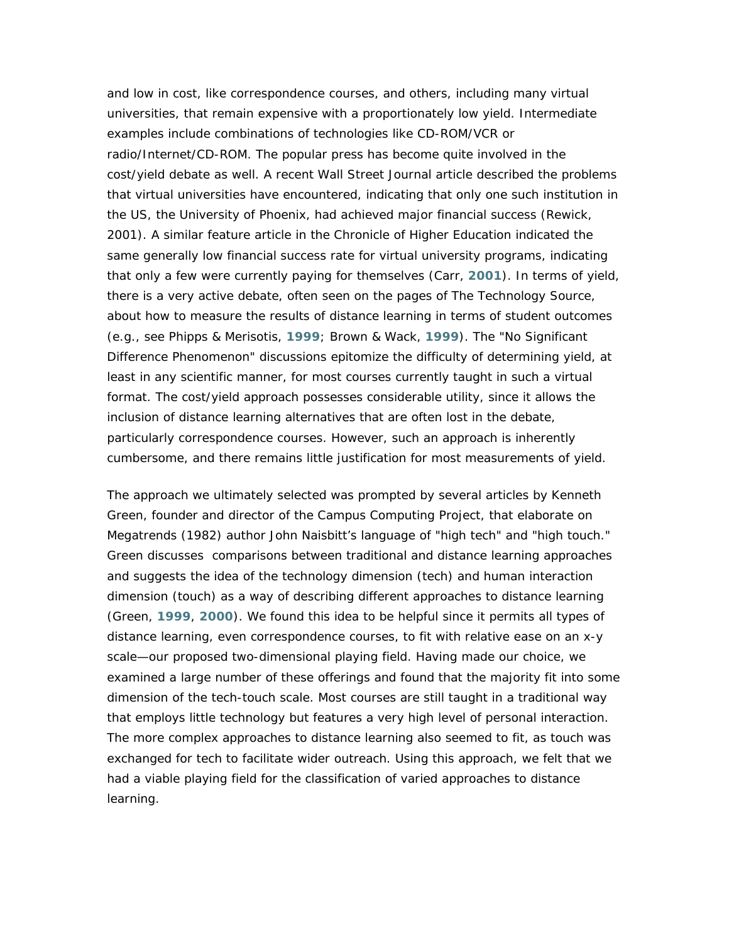and low in cost, like correspondence courses, and others, including many virtual universities, that remain expensive with a proportionately low yield. Intermediate examples include combinations of technologies like CD-ROM/VCR or radio/Internet/CD-ROM. The popular press has become quite involved in the cost/yield debate as well. A recent *Wall Street Journal* article described the problems that virtual universities have encountered, indicating that only one such institution in the US, the University of Phoenix, had achieved major financial success (Rewick, 2001). A similar feature article in the *Chronicle of Higher Education* indicated the same generally low financial success rate for virtual university programs, indicating that only a few were currently paying for themselves (Carr, **[2001](http://chronicle.com/weekly/v47/i23/23a04101.htm)**). In terms of yield, there is a very active debate, often seen on the pages of *The Technology Source*, about how to measure the results of distance learning in terms of student outcomes (e.g., see Phipps & Merisotis, **1999**; Brown & Wack, **[1999](http://ts.mivu.org/reading/1999-05.asp)**). The "No Significant Difference Phenomenon" discussions epitomize the difficulty of determining yield, at least in any scientific manner, for most courses currently taught in such a virtual format. The cost/yield approach possesses considerable utility, since it allows the inclusion of distance learning alternatives that are often lost in the debate, particularly correspondence courses. However, such an approach is inherently cumbersome, and there remains little justification for most measurements of yield.

The approach we ultimately selected was prompted by several articles by Kenneth Green, founder and director of the Campus Computing Project, that elaborate on *Megatrends* (1982) author John Naisbitt's language of "high tech" and "high touch." Green discusses comparisons between traditional and distance learning approaches and suggests the idea of the technology dimension (tech) and human interaction dimension (touch) as a way of describing different approaches to distance learning (Green, **[1999](http://www.ed.gov/pubs/Competence/section4.html)**, **[2000](http://www.convergemag.com/Publications/CNVGMar00/DigTweed/DigitalTweed.shtm)**). We found this idea to be helpful since it permits all types of distance learning, even correspondence courses, to fit with relative ease on an x-y scale—our proposed two-dimensional playing field. Having made our choice, we examined a large number of these offerings and found that the majority fit into some dimension of the tech-touch scale. Most courses are still taught in a traditional way that employs little technology but features a very high level of personal interaction. The more complex approaches to distance learning also seemed to fit, as touch was exchanged for tech to facilitate wider outreach. Using this approach, we felt that we had a viable playing field for the classification of varied approaches to distance learning.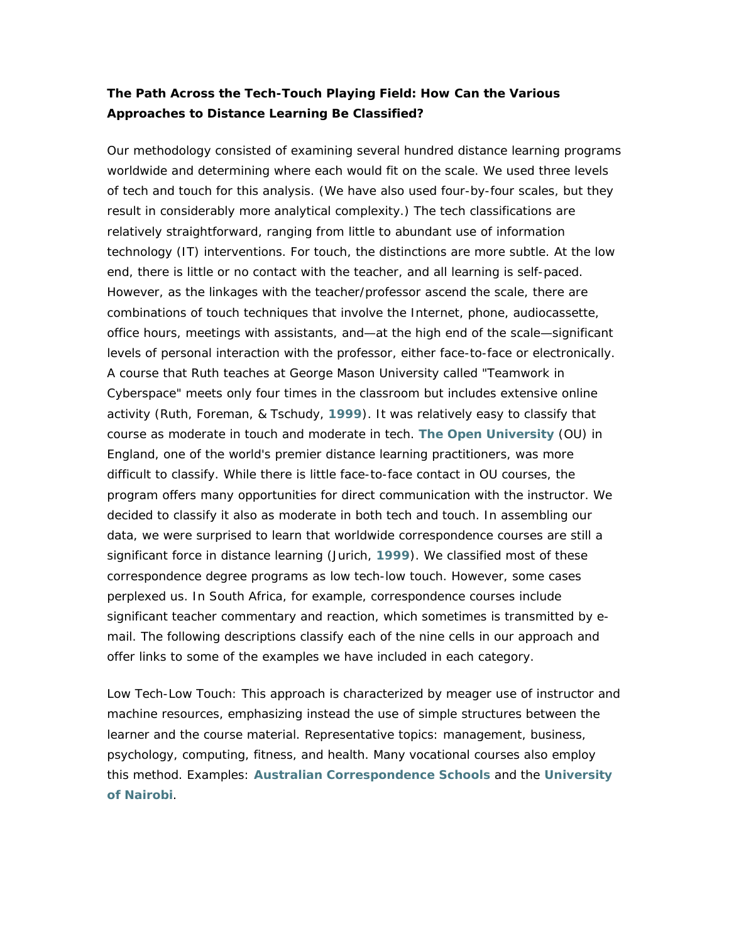## **The Path Across the Tech-Touch Playing Field: How Can the Various Approaches to Distance Learning Be Classified?**

Our methodology consisted of examining several hundred distance learning programs worldwide and determining where each would fit on the scale. We used three levels of tech and touch for this analysis. (We have also used four-by-four scales, but they result in considerably more analytical complexity.) The tech classifications are relatively straightforward, ranging from little to abundant use of information technology (IT) interventions. For touch, the distinctions are more subtle. At the low end, there is little or no contact with the teacher, and all learning is self-paced. However, as the linkages with the teacher/professor ascend the scale, there are combinations of touch techniques that involve the Internet, phone, audiocassette, office hours, meetings with assistants, and—at the high end of the scale—significant levels of personal interaction with the professor, either face-to-face or electronically. A course that Ruth teaches at George Mason University called "Teamwork in Cyberspace" meets only four times in the classroom but includes extensive online activity (Ruth, Foreman, & Tschudy, **[1999](http://ts.mivu.org/default.asp?show=article&id=610)**). It was relatively easy to classify that course as moderate in touch and moderate in tech. **[The Open University](http://www.open.ac.uk/)** (OU) in England, one of the world's premier distance learning practitioners, was more difficult to classify. While there is little face-to-face contact in OU courses, the program offers many opportunities for direct communication with the instructor. We decided to classify it also as moderate in both tech and touch. In assembling our data, we were surprised to learn that worldwide correspondence courses are still a significant force in distance learning (Jurich, **[1999](http://www.techknowlogia.org/TKL_active_pages2/TableOfContents/main.asp?IssueNumber=1)**). We classified most of these correspondence degree programs as low tech-low touch. However, some cases perplexed us. In South Africa, for example, correspondence courses include significant teacher commentary and reaction, which sometimes is transmitted by email. The following descriptions classify each of the nine cells in our approach and offer links to some of the examples we have included in each category.

*Low Tech-Low Touch*: This approach is characterized by meager use of instructor and machine resources, emphasizing instead the use of simple structures between the learner and the course material. Representative topics: management, business, psychology, computing, fitness, and health. Many vocational courses also employ this method. Examples: **[Australian Correspondence Schools](http://www.acs.edu.au/21century/)** and the **[University](http://www.uonbi.ac.ke/)  [of Nairobi](http://www.uonbi.ac.ke/)**.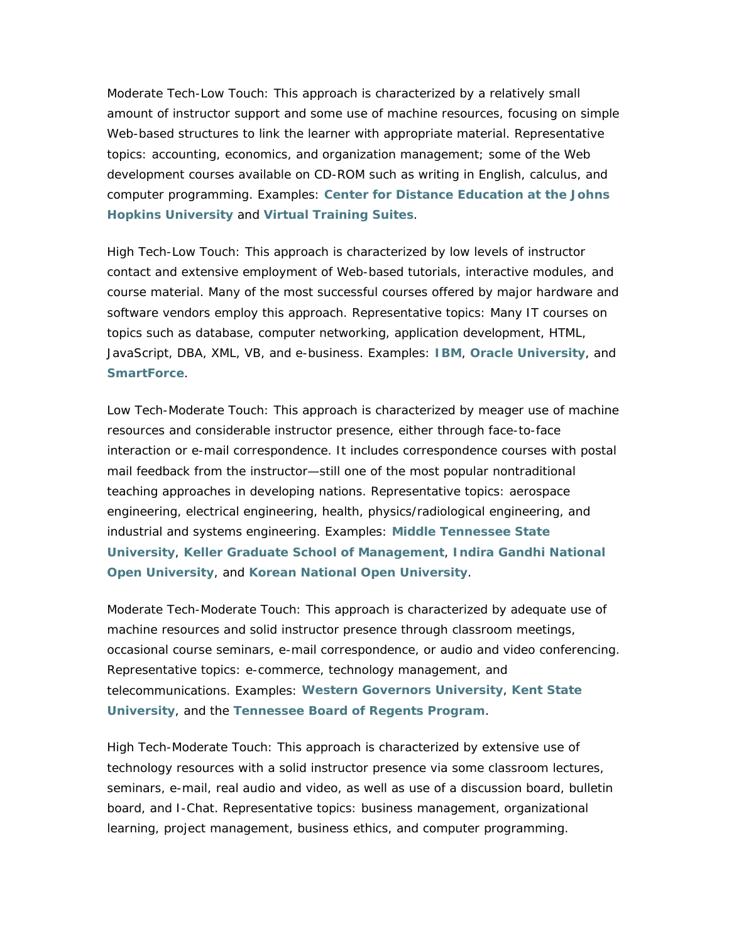*Moderate Tech-Low Touch*: This approach is characterized by a relatively small amount of instructor support and some use of machine resources, focusing on simple Web-based structures to link the learner with appropriate material. Representative topics: accounting, economics, and organization management; some of the Web development courses available on CD-ROM such as writing in English, calculus, and computer programming. Examples: **[Center for Distance Education at the Johns](http://www.jhu.edu/gifted/cde/)  [Hopkins University](http://www.jhu.edu/gifted/cde/)** and **[Virtual Training Suites](http://www.vts.rdn.ac.uk/index.htm)**.

*High Tech-Low Touch*: This approach is characterized by low levels of instructor contact and extensive employment of Web-based tutorials, interactive modules, and course material. Many of the most successful courses offered by major hardware and software vendors employ this approach. Representative topics: Many IT courses on topics such as database, computer networking, application development, HTML, JavaScript, DBA, XML, VB, and e-business. Examples: **[IBM](http://www-3.ibm.com/services/learning/us/)**, **[Oracle University](http://www.oracle.com/education/index.html?content.html)**, and **[SmartForce](http://www.smartforce.com/corp/marketing/)**.

*Low Tech-Moderate Touch*: This approach is characterized by meager use of machine resources and considerable instructor presence, either through face-to-face interaction or e-mail correspondence. It includes correspondence courses with postal mail feedback from the instructor—still one of the most popular nontraditional teaching approaches in developing nations. Representative topics: aerospace engineering, electrical engineering, health, physics/radiological engineering, and industrial and systems engineering. Examples: **[Middle Tennessee State](http://www.mtsu.edu/~corres/)  [University](http://www.mtsu.edu/~corres/)**, **[Keller Graduate School of Management](http://online.keller.edu/)**, **[Indira Gandhi National](http://www.ignou.com/info.htm)  [Open University](http://www.ignou.com/info.htm)**, and **[Korean National Open University](http://www.knou.ac.kr/english/main/main07.htm)**.

*Moderate Tech-Moderate Touch*: This approach is characterized by adequate use of machine resources and solid instructor presence through classroom meetings, occasional course seminars, e-mail correspondence, or audio and video conferencing. Representative topics: e-commerce, technology management, and telecommunications. Examples: **[Western Governors University](http://www.petersons.com/wgu/)**, **[Kent State](http://dl.kent.edu/)  [University](http://dl.kent.edu/)**, and the **[Tennessee Board of Regents Program](http://www.tn.regentsdegrees.org/)**.

*High Tech-Moderate Touch*: This approach is characterized by extensive use of technology resources with a solid instructor presence via some classroom lectures, seminars, e-mail, real audio and video, as well as use of a discussion board, bulletin board, and I-Chat. Representative topics: business management, organizational learning, project management, business ethics, and computer programming.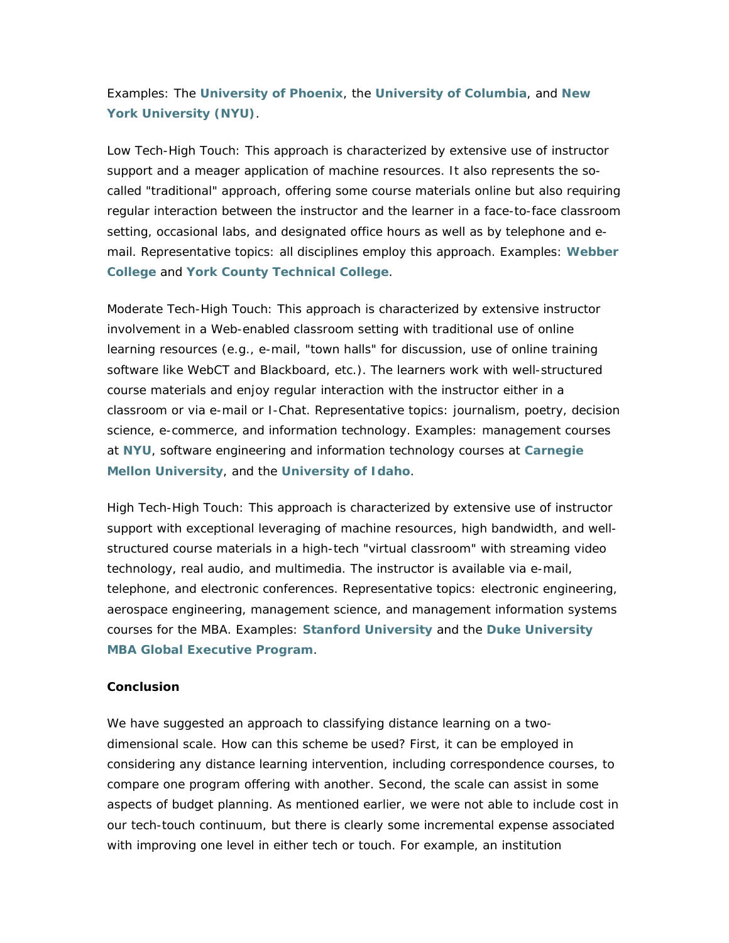Examples: The **[University of Phoenix](http://online.uophx.edu/Default.asp)**, the **[University of Columbia](http://www.cvn.columbia.edu/)**, and **[New](http://www.nyuonline.com/)  [York University \(NYU\)](http://www.nyuonline.com/)**.

*Low Tech-High Touch*: This approach is characterized by extensive use of instructor support and a meager application of machine resources. It also represents the socalled "traditional" approach, offering some course materials online but also requiring regular interaction between the instructor and the learner in a face-to-face classroom setting, occasional labs, and designated office hours as well as by telephone and email. Representative topics: all disciplines employ this approach. Examples: **[Webber](http://www.webber.edu/)  [College](http://www.webber.edu/)** and **[York County Technical College](http://www.yctc.net/)**.

*Moderate Tech-High Touch*: This approach is characterized by extensive instructor involvement in a Web-enabled classroom setting with traditional use of online learning resources (e.g., e-mail, "town halls" for discussion, use of online training software like WebCT and Blackboard, etc.). The learners work with well-structured course materials and enjoy regular interaction with the instructor either in a classroom or via e-mail or I-Chat. Representative topics: journalism, poetry, decision science, e-commerce, and information technology. Examples: management courses at **[NYU](http://www.scps.nyu.edu/dyncon/inft/degr_mast.html)**, software engineering and information technology courses at **[Carnegie](http://www.cmu.edu/home/education/education_distance.html)  [Mellon University](http://www.cmu.edu/home/education/education_distance.html)**, and the **[University of Idaho](http://www.uidaho.edu/evo/newhtml/how.html)**.

*High Tech-High Touch*: This approach is characterized by extensive use of instructor support with exceptional leveraging of machine resources, high bandwidth, and wellstructured course materials in a high-tech "virtual classroom" with streaming video technology, real audio, and multimedia. The instructor is available via e-mail, telephone, and electronic conferences. Representative topics: electronic engineering, aerospace engineering, management science, and management information systems courses for the MBA. Examples: **[Stanford University](http://scpd.stanford.edu/scpd/default.htm)** and the **[Duke University](http://www.fuqua.duke.edu/admin/gemba/index.html)  [MBA Global Executive Program](http://www.fuqua.duke.edu/admin/gemba/index.html)**.

### **Conclusion**

We have suggested an approach to classifying distance learning on a twodimensional scale. How can this scheme be used? First, it can be employed in considering any distance learning intervention, including correspondence courses, to compare one program offering with another. Second, the scale can assist in some aspects of budget planning. As mentioned earlier, we were not able to include cost in our tech-touch continuum, but there is clearly some incremental expense associated with improving one level in either tech or touch. For example, an institution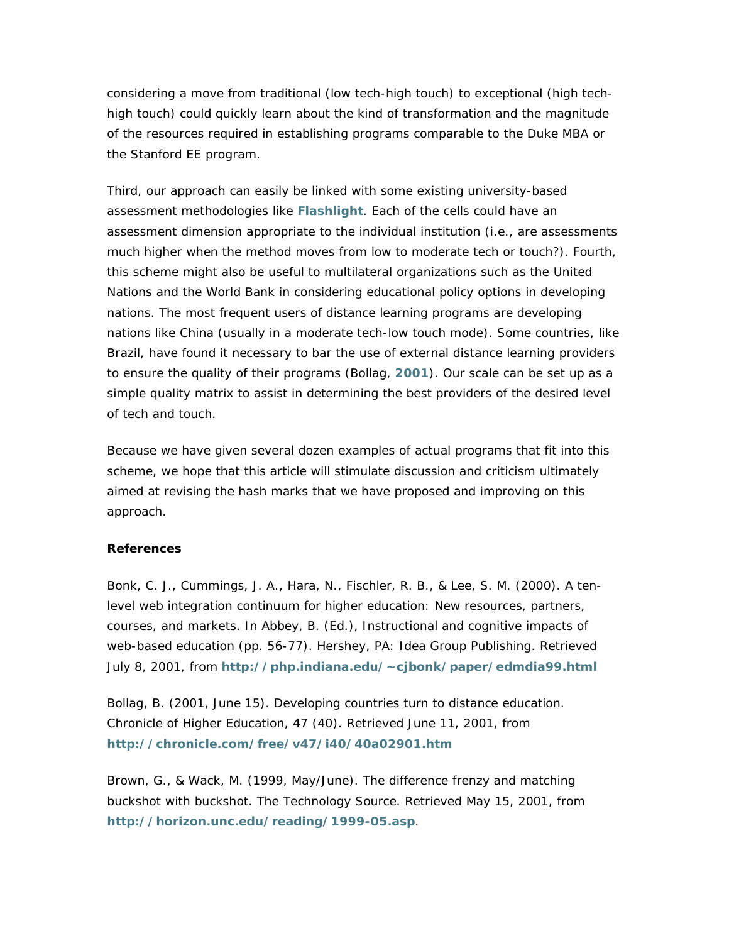considering a move from traditional (low tech-high touch) to exceptional (high techhigh touch) could quickly learn about the kind of transformation and the magnitude of the resources required in establishing programs comparable to the Duke MBA or the Stanford EE program.

Third, our approach can easily be linked with some existing university-based assessment methodologies like **[Flashlight](http://www.tltgroup.org/programs/flashlight.html)**. Each of the cells could have an assessment dimension appropriate to the individual institution (i.e., are assessments much higher when the method moves from low to moderate tech or touch?). Fourth, this scheme might also be useful to multilateral organizations such as the United Nations and the World Bank in considering educational policy options in developing nations. The most frequent users of distance learning programs are developing nations like China (usually in a moderate tech-low touch mode). Some countries, like Brazil, have found it necessary to bar the use of external distance learning providers to ensure the quality of their programs (Bollag, **[2001](http://chronicle.com/free/v47/i40/40a02901.htm)**). Our scale can be set up as a simple quality matrix to assist in determining the best providers of the desired level of tech and touch.

Because we have given several dozen examples of actual programs that fit into this scheme, we hope that this article will stimulate discussion and criticism ultimately aimed at revising the hash marks that we have proposed and improving on this approach.

## **References**

Bonk, C. J., Cummings, J. A., Hara, N., Fischler, R. B., & Lee, S. M. (2000). A tenlevel web integration continuum for higher education: New resources, partners, courses, and markets. In Abbey, B. (Ed.), *Instructional and cognitive impacts of web-based education* (pp. 56-77). Hershey, PA: Idea Group Publishing. Retrieved July 8, 2001, from **<http://php.indiana.edu/~cjbonk/paper/edmdia99.html>**

Bollag, B. (2001, June 15). Developing countries turn to distance education. *Chronicle of Higher Education, 47* (40). Retrieved June 11, 2001, from **<http://chronicle.com/free/v47/i40/40a02901.htm>**

Brown, G., & Wack, M. (1999, May/June). The difference frenzy and matching buckshot with buckshot. *The Technology Source*. Retrieved May 15, 2001, from **<http://horizon.unc.edu/reading/1999-05.asp>**.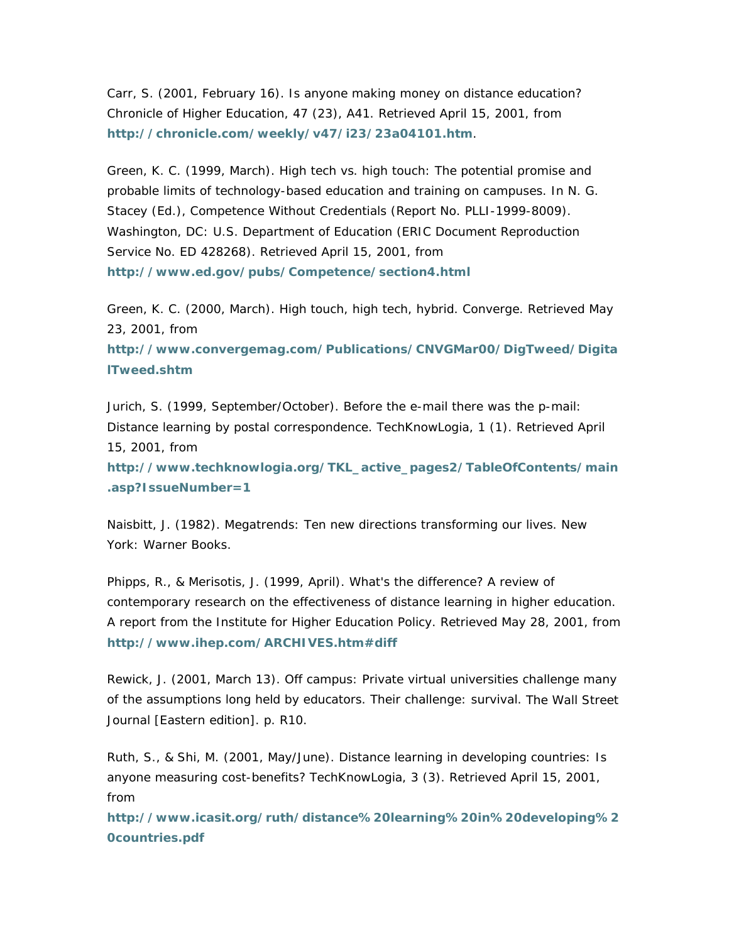Carr, S. (2001, February 16). Is anyone making money on distance education? *Chronicle of Higher Education, 47* (23), A41. Retrieved April 15, 2001, from **<http://chronicle.com/weekly/v47/i23/23a04101.htm>**.

Green, K. C. (1999, March). High tech vs. high touch: The potential promise and probable limits of technology-based education and training on campuses. In N. G. Stacey (Ed.), *Competence Without Credentials* (Report No. PLLI-1999-8009). Washington, DC: U.S. Department of Education (ERIC Document Reproduction Service No. ED 428268). Retrieved April 15, 2001, from **<http://www.ed.gov/pubs/Competence/section4.html>**

Green, K. C. (2000, March). High touch, high tech, hybrid. *Converge*. Retrieved May 23, 2001, from

**[http://www.convergemag.com/Publications/CNVGMar00/DigTweed/Digita](http://www.convergemag.com/Publications/CNVGMar00/DigTweed/DigitalTweed.shtm) [lTweed.shtm](http://www.convergemag.com/Publications/CNVGMar00/DigTweed/DigitalTweed.shtm)**

Jurich, S. (1999, September/October). Before the e-mail there was the p-mail: Distance learning by postal correspondence. *TechKnowLogia, 1* (1). Retrieved April 15, 2001, from

**[http://www.techknowlogia.org/TKL\\_active\\_pages2/TableOfContents/main](http://www.techknowlogia.org/TKL_active_pages2/TableOfContents/main.asp?IssueNumber=1) [.asp?IssueNumber=1](http://www.techknowlogia.org/TKL_active_pages2/TableOfContents/main.asp?IssueNumber=1)**

Naisbitt, J. (1982). *Megatrends: Ten new directions transforming our lives*. New York: Warner Books.

Phipps, R., & Merisotis, J. (1999, April). *What's the difference? A review of contemporary research on the effectiveness of distance learning in higher education*. A report from the Institute for Higher Education Policy. Retrieved May 28, 2001, from **http://www.ihep.com/ARCHIVES.htm#diff**

Rewick, J. (2001, March 13). Off campus: Private virtual universities challenge many of the assumptions long held by educators. Their challenge: survival. *The Wall Street Journal* [Eastern edition]. p. R10.

Ruth, S., & Shi, M. (2001, May/June). Distance learning in developing countries: Is anyone measuring cost-benefits? *TechKnowLogia*, 3 (3). Retrieved April 15, 2001, from

**[http://www.icasit.org/ruth/distance%20learning%20in%20developing%2](http://www.icasit.org/ruth/distance learning in developing countries.pdf) [0countries.pdf](http://www.icasit.org/ruth/distance learning in developing countries.pdf)**